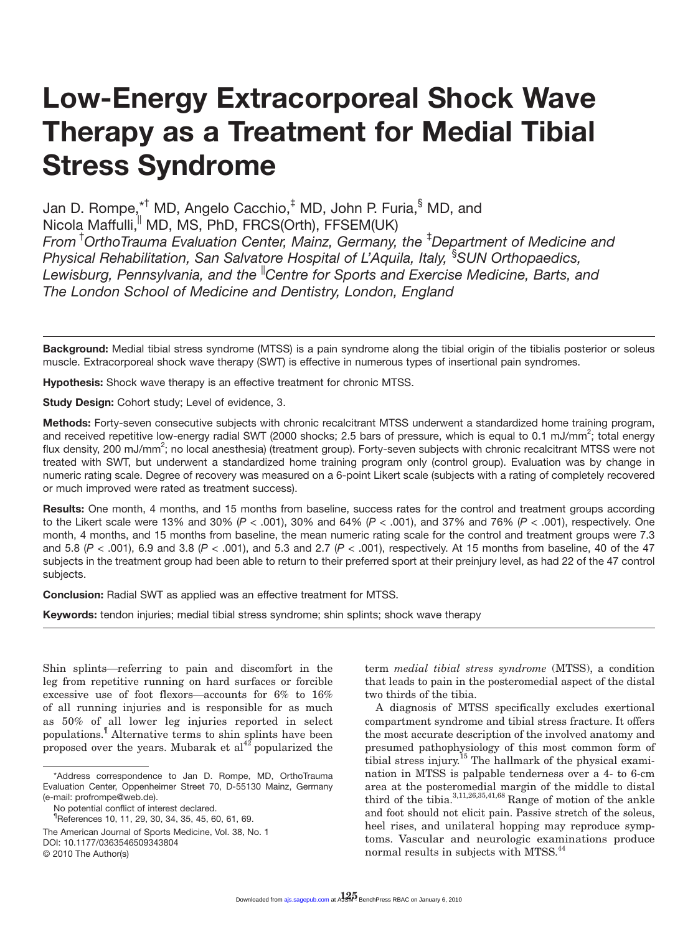# **Low-Energy Extracorporeal Shock Wave Therapy as a Treatment for Medial Tibial Stress Syndrome**

Jan D. Rompe,\*<sup>†</sup> MD, Angelo Cacchio,<sup>‡</sup> MD, John P. Furia,<sup>§</sup> MD, and Nicola Maffulli, MD, MS, PhD, FRCS(Orth), FFSEM(UK) *From* † *OrthoTrauma Evaluation Center, Mainz, Germany, the* ‡ *Department of Medicine and Physical Rehabilitation, San Salvatore Hospital of L'Aquila, Italy,* § *SUN Orthopaedics, Lewisburg, Pennsylvania, and the* ||*Centre for Sports and Exercise Medicine, Barts, and The London School of Medicine and Dentistry, London, England*

**Background:** Medial tibial stress syndrome (MTSS) is a pain syndrome along the tibial origin of the tibialis posterior or soleus muscle. Extracorporeal shock wave therapy (SWT) is effective in numerous types of insertional pain syndromes.

**Hypothesis:** Shock wave therapy is an effective treatment for chronic MTSS.

**Study Design:** Cohort study; Level of evidence, 3.

**Methods:** Forty-seven consecutive subjects with chronic recalcitrant MTSS underwent a standardized home training program, and received repetitive low-energy radial SWT (2000 shocks; 2.5 bars of pressure, which is equal to 0.1 mJ/mm<sup>2</sup>; total energy flux density, 200 mJ/mm<sup>2</sup>; no local anesthesia) (treatment group). Forty-seven subjects with chronic recalcitrant MTSS were not treated with SWT, but underwent a standardized home training program only (control group). Evaluation was by change in numeric rating scale. Degree of recovery was measured on a 6-point Likert scale (subjects with a rating of completely recovered or much improved were rated as treatment success).

**Results:** One month, 4 months, and 15 months from baseline, success rates for the control and treatment groups according to the Likert scale were 13% and 30% (*P* < .001), 30% and 64% (*P* < .001), and 37% and 76% (*P* < .001), respectively. One month, 4 months, and 15 months from baseline, the mean numeric rating scale for the control and treatment groups were 7.3 and 5.8 (*P* < .001), 6.9 and 3.8 (*P* < .001), and 5.3 and 2.7 (*P* < .001), respectively. At 15 months from baseline, 40 of the 47 subjects in the treatment group had been able to return to their preferred sport at their preinjury level, as had 22 of the 47 control subjects.

**Conclusion:** Radial SWT as applied was an effective treatment for MTSS.

**Keywords:** tendon injuries; medial tibial stress syndrome; shin splints; shock wave therapy

Shin splints—referring to pain and discomfort in the leg from repetitive running on hard surfaces or forcible excessive use of foot flexors—accounts for  $6\%$  to  $16\%$ of all running injuries and is responsible for as much as 50% of all lower leg injuries reported in select populations.¶ Alternative terms to shin splints have been proposed over the years. Mubarak et  $al<sup>42</sup>$  popularized the

term *medial tibial stress syndrome* (MTSS), a condition that leads to pain in the posteromedial aspect of the distal two thirds of the tibia.

A diagnosis of MTSS specifically excludes exertional compartment syndrome and tibial stress fracture. It offers the most accurate description of the involved anatomy and presumed pathophysiology of this most common form of tibial stress injury.15 The hallmark of the physical examination in MTSS is palpable tenderness over a 4- to 6-cm area at the posteromedial margin of the middle to distal third of the tibia. $3,11,26,35,41,68$  Range of motion of the ankle and foot should not elicit pain. Passive stretch of the soleus, heel rises, and unilateral hopping may reproduce symptoms. Vascular and neurologic examinations produce normal results in subjects with MTSS.44

<sup>\*</sup>Address correspondence to Jan D. Rompe, MD, OrthoTrauma Evaluation Center, Oppenheimer Street 70, D-55130 Mainz, Germany (e-mail: profrompe@web.de).

No potential conflict of interest declared.

<sup>¶</sup> References 10, 11, 29, 30, 34, 35, 45, 60, 61, 69.

The American Journal of Sports Medicine, Vol. 38, No. 1

DOI: 10.1177/0363546509343804

<sup>© 2010</sup> The Author(s)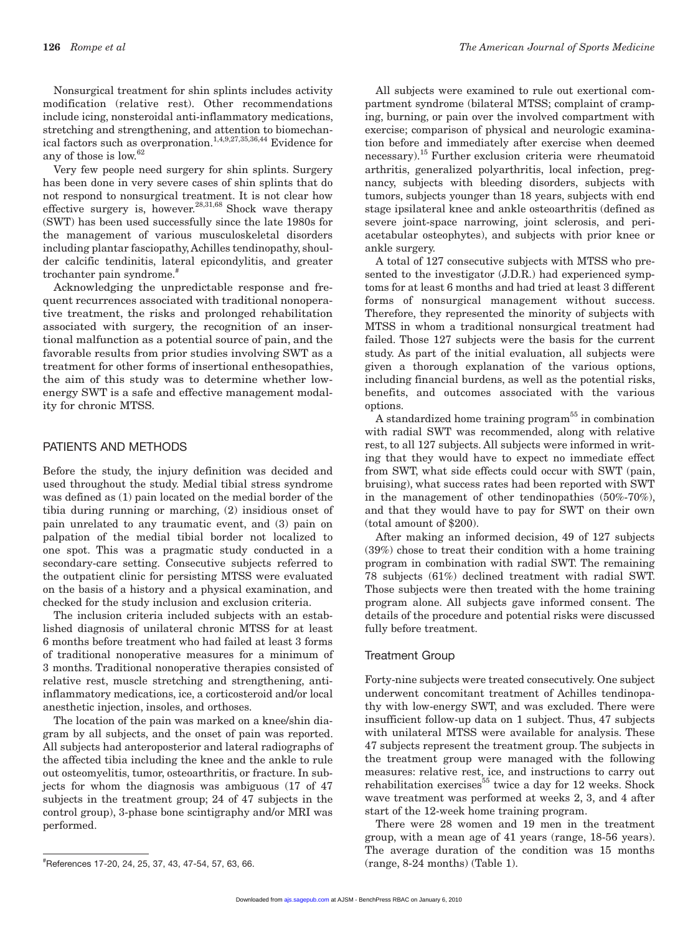Nonsurgical treatment for shin splints includes activity modification (relative rest). Other recommendations include icing, nonsteroidal anti-inflammatory medications, stretching and strengthening, and attention to biomechanical factors such as overpronation.<sup>1,4,9,27,35,36,44</sup> Evidence for any of those is low.62

Very few people need surgery for shin splints. Surgery has been done in very severe cases of shin splints that do not respond to nonsurgical treatment. It is not clear how effective surgery is, however.<sup>28,31,68</sup> Shock wave therapy (SWT) has been used successfully since the late 1980s for the management of various musculoskeletal disorders including plantar fasciopathy, Achilles tendinopathy, shoulder calcific tendinitis, lateral epicondylitis, and greater trochanter pain syndrome.#

Acknowledging the unpredictable response and frequent recurrences associated with traditional nonoperative treatment, the risks and prolonged rehabilitation associated with surgery, the recognition of an insertional malfunction as a potential source of pain, and the favorable results from prior studies involving SWT as a treatment for other forms of insertional enthesopathies, the aim of this study was to determine whether lowenergy SWT is a safe and effective management modality for chronic MTSS.

## PATIENTS AND METHODS

Before the study, the injury definition was decided and used throughout the study. Medial tibial stress syndrome was defined as (1) pain located on the medial border of the tibia during running or marching, (2) insidious onset of pain unrelated to any traumatic event, and (3) pain on palpation of the medial tibial border not localized to one spot. This was a pragmatic study conducted in a secondary-care setting. Consecutive subjects referred to the outpatient clinic for persisting MTSS were evaluated on the basis of a history and a physical examination, and checked for the study inclusion and exclusion criteria.

The inclusion criteria included subjects with an established diagnosis of unilateral chronic MTSS for at least 6 months before treatment who had failed at least 3 forms of traditional nonoperative measures for a minimum of 3 months. Traditional nonoperative therapies consisted of relative rest, muscle stretching and strengthening, antiinflammatory medications, ice, a corticosteroid and/or local anesthetic injection, insoles, and orthoses.

The location of the pain was marked on a knee/shin diagram by all subjects, and the onset of pain was reported. All subjects had anteroposterior and lateral radiographs of the affected tibia including the knee and the ankle to rule out osteomyelitis, tumor, osteoarthritis, or fracture. In subjects for whom the diagnosis was ambiguous (17 of 47 subjects in the treatment group; 24 of 47 subjects in the control group), 3-phase bone scintigraphy and/or MRI was performed.

All subjects were examined to rule out exertional compartment syndrome (bilateral MTSS; complaint of cramping, burning, or pain over the involved compartment with exercise; comparison of physical and neurologic examination before and immediately after exercise when deemed necessary).15 Further exclusion criteria were rheumatoid arthritis, generalized polyarthritis, local infection, pregnancy, subjects with bleeding disorders, subjects with tumors, subjects younger than 18 years, subjects with end stage ipsilateral knee and ankle osteoarthritis (defined as severe joint-space narrowing, joint sclerosis, and periacetabular osteophytes), and subjects with prior knee or ankle surgery.

A total of 127 consecutive subjects with MTSS who presented to the investigator (J.D.R.) had experienced symptoms for at least 6 months and had tried at least 3 different forms of nonsurgical management without success. Therefore, they represented the minority of subjects with MTSS in whom a traditional nonsurgical treatment had failed. Those 127 subjects were the basis for the current study. As part of the initial evaluation, all subjects were given a thorough explanation of the various options, including financial burdens, as well as the potential risks, benefits, and outcomes associated with the various options.

A standardized home training program<sup>55</sup> in combination with radial SWT was recommended, along with relative rest, to all 127 subjects. All subjects were informed in writing that they would have to expect no immediate effect from SWT, what side effects could occur with SWT (pain, bruising), what success rates had been reported with SWT in the management of other tendinopathies (50%-70%), and that they would have to pay for SWT on their own (total amount of \$200).

After making an informed decision, 49 of 127 subjects (39%) chose to treat their condition with a home training program in combination with radial SWT. The remaining 78 subjects (61%) declined treatment with radial SWT. Those subjects were then treated with the home training program alone. All subjects gave informed consent. The details of the procedure and potential risks were discussed fully before treatment.

## Treatment Group

Forty-nine subjects were treated consecutively. One subject underwent concomitant treatment of Achilles tendinopathy with low-energy SWT, and was excluded. There were insufficient follow-up data on 1 subject. Thus, 47 subjects with unilateral MTSS were available for analysis. These 47 subjects represent the treatment group. The subjects in the treatment group were managed with the following measures: relative rest, ice, and instructions to carry out rehabilitation exercises<sup>55</sup> twice a day for 12 weeks. Shock wave treatment was performed at weeks 2, 3, and 4 after start of the 12-week home training program.

There were 28 women and 19 men in the treatment group, with a mean age of 41 years (range, 18-56 years). The average duration of the condition was 15 months

<sup>(</sup>range, 8-24 months) (Table 1). # References 17-20, 24, 25, 37, 43, 47-54, 57, 63, 66.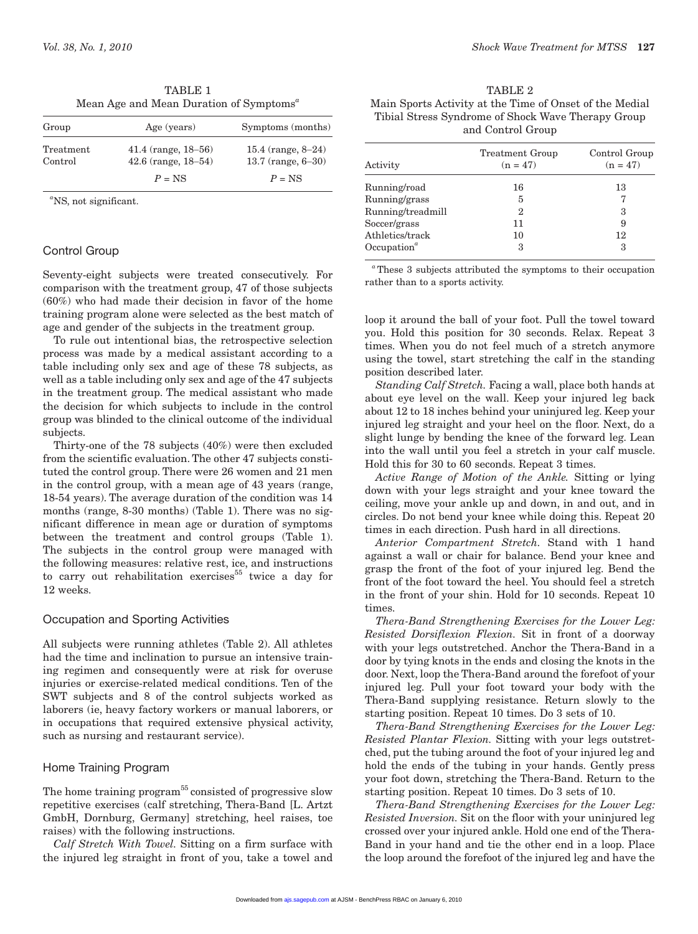| Group                | Age (years)                                          | Symptoms (months)                              |  |
|----------------------|------------------------------------------------------|------------------------------------------------|--|
| Treatment<br>Control | $41.4$ (range, $18-56$ )<br>$42.6$ (range, $18-54$ ) | 15.4 (range, $8-24$ )<br>13.7 (range, $6-30$ ) |  |
|                      | $P = NS$                                             | $P = NS$                                       |  |

TABLE 1 Mean Age and Mean Duration of Symptoms*<sup>a</sup>*

*a* NS, not significant.

# Control Group

Seventy-eight subjects were treated consecutively. For comparison with the treatment group, 47 of those subjects (60%) who had made their decision in favor of the home training program alone were selected as the best match of age and gender of the subjects in the treatment group.

To rule out intentional bias, the retrospective selection process was made by a medical assistant according to a table including only sex and age of these 78 subjects, as well as a table including only sex and age of the 47 subjects in the treatment group. The medical assistant who made the decision for which subjects to include in the control group was blinded to the clinical outcome of the individual subjects.

Thirty-one of the 78 subjects (40%) were then excluded from the scientific evaluation. The other 47 subjects constituted the control group. There were 26 women and 21 men in the control group, with a mean age of 43 years (range, 18-54 years). The average duration of the condition was 14 months (range, 8-30 months) (Table 1). There was no significant difference in mean age or duration of symptoms between the treatment and control groups (Table 1). The subjects in the control group were managed with the following measures: relative rest, ice, and instructions to carry out rehabilitation exercises<sup>55</sup> twice a day for 12 weeks.

# Occupation and Sporting Activities

All subjects were running athletes (Table 2). All athletes had the time and inclination to pursue an intensive training regimen and consequently were at risk for overuse injuries or exercise-related medical conditions. Ten of the SWT subjects and 8 of the control subjects worked as laborers (ie, heavy factory workers or manual laborers, or in occupations that required extensive physical activity, such as nursing and restaurant service).

# Home Training Program

The home training  $program<sup>55</sup>$  consisted of progressive slow repetitive exercises (calf stretching, Thera-Band [L. Artzt GmbH, Dornburg, Germany] stretching, heel raises, toe raises) with the following instructions.

*Calf Stretch With Towel.* Sitting on a firm surface with the injured leg straight in front of you, take a towel and

TABLE 2 Main Sports Activity at the Time of Onset of the Medial Tibial Stress Syndrome of Shock Wave Therapy Group and Control Group

| Activity                             | <b>Treatment Group</b><br>$(n = 47)$ | Control Group<br>$(n = 47)$ |  |
|--------------------------------------|--------------------------------------|-----------------------------|--|
| Running/road                         | 16                                   | 13                          |  |
| Running/grass                        | 5                                    |                             |  |
| Running/treadmill                    | 2                                    | 3                           |  |
| Soccer/grass                         | 11                                   | 9                           |  |
| Athletics/track                      | 10                                   | 12                          |  |
| Occupation <sup><math>a</math></sup> | 3                                    | 3                           |  |

*<sup>a</sup>*These 3 subjects attributed the symptoms to their occupation rather than to a sports activity.

loop it around the ball of your foot. Pull the towel toward you. Hold this position for 30 seconds. Relax. Repeat 3 times. When you do not feel much of a stretch anymore using the towel, start stretching the calf in the standing position described later.

*Standing Calf Stretch.* Facing a wall, place both hands at about eye level on the wall. Keep your injured leg back about 12 to 18 inches behind your uninjured leg. Keep your injured leg straight and your heel on the floor. Next, do a slight lunge by bending the knee of the forward leg. Lean into the wall until you feel a stretch in your calf muscle. Hold this for 30 to 60 seconds. Repeat 3 times.

*Active Range of Motion of the Ankle.* Sitting or lying down with your legs straight and your knee toward the ceiling, move your ankle up and down, in and out, and in circles. Do not bend your knee while doing this. Repeat 20 times in each direction. Push hard in all directions.

*Anterior Compartment Stretch.* Stand with 1 hand against a wall or chair for balance. Bend your knee and grasp the front of the foot of your injured leg. Bend the front of the foot toward the heel. You should feel a stretch in the front of your shin. Hold for 10 seconds. Repeat 10 times.

*Thera-Band Strengthening Exercises for the Lower Leg: Resisted Dorsiflexion Flexion.* Sit in front of a doorway with your legs outstretched. Anchor the Thera-Band in a door by tying knots in the ends and closing the knots in the door. Next, loop the Thera-Band around the forefoot of your injured leg. Pull your foot toward your body with the Thera-Band supplying resistance. Return slowly to the starting position. Repeat 10 times. Do 3 sets of 10.

*Thera-Band Strengthening Exercises for the Lower Leg: Resisted Plantar Flexion.* Sitting with your legs outstretched, put the tubing around the foot of your injured leg and hold the ends of the tubing in your hands. Gently press your foot down, stretching the Thera-Band. Return to the starting position. Repeat 10 times. Do 3 sets of 10.

*Thera-Band Strengthening Exercises for the Lower Leg: Resisted Inversion.* Sit on the floor with your uninjured leg crossed over your injured ankle. Hold one end of the Thera-Band in your hand and tie the other end in a loop. Place the loop around the forefoot of the injured leg and have the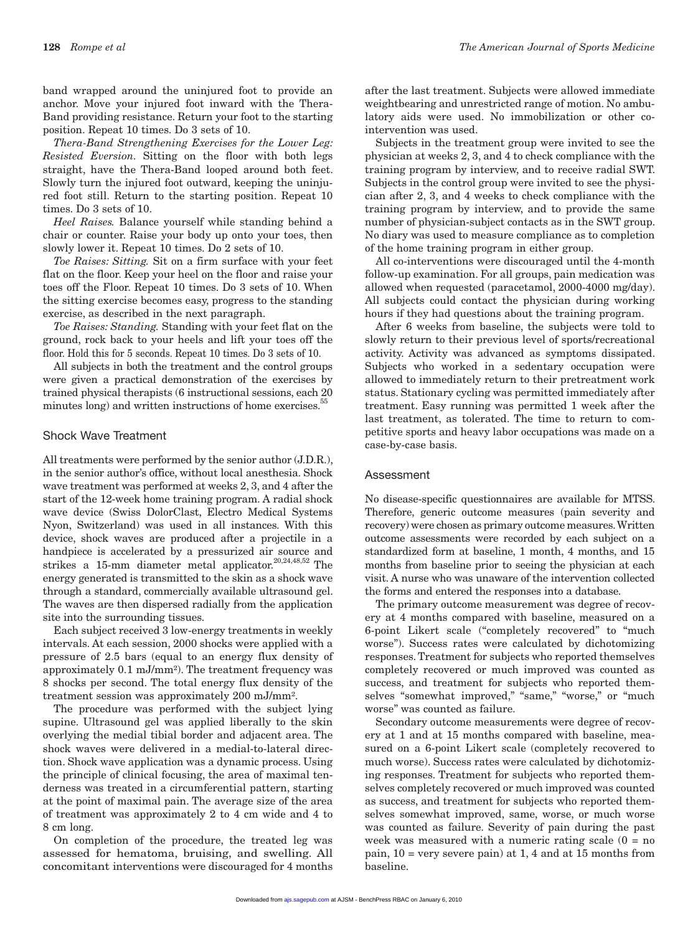band wrapped around the uninjured foot to provide an anchor. Move your injured foot inward with the Thera-Band providing resistance. Return your foot to the starting position. Repeat 10 times. Do 3 sets of 10.

*Thera-Band Strengthening Exercises for the Lower Leg: Resisted Eversion.* Sitting on the floor with both legs straight, have the Thera-Band looped around both feet. Slowly turn the injured foot outward, keeping the uninjured foot still. Return to the starting position. Repeat 10 times. Do 3 sets of 10.

*Heel Raises.* Balance yourself while standing behind a chair or counter. Raise your body up onto your toes, then slowly lower it. Repeat 10 times. Do 2 sets of 10.

*Toe Raises: Sitting.* Sit on a firm surface with your feet flat on the floor. Keep your heel on the floor and raise your toes off the Floor. Repeat 10 times. Do 3 sets of 10. When the sitting exercise becomes easy, progress to the standing exercise, as described in the next paragraph.

*Toe Raises: Standing.* Standing with your feet flat on the ground, rock back to your heels and lift your toes off the floor. Hold this for 5 seconds. Repeat 10 times. Do 3 sets of 10.

All subjects in both the treatment and the control groups were given a practical demonstration of the exercises by trained physical therapists (6 instructional sessions, each 20 minutes long) and written instructions of home exercises.<sup>5</sup>

## Shock Wave Treatment

All treatments were performed by the senior author (J.D.R.), in the senior author's office, without local anesthesia. Shock wave treatment was performed at weeks 2, 3, and 4 after the start of the 12-week home training program. A radial shock wave device (Swiss DolorClast, Electro Medical Systems Nyon, Switzerland) was used in all instances. With this device, shock waves are produced after a projectile in a handpiece is accelerated by a pressurized air source and strikes a 15-mm diameter metal applicator.<sup>20,24,48,52</sup> The energy generated is transmitted to the skin as a shock wave through a standard, commercially available ultrasound gel. The waves are then dispersed radially from the application site into the surrounding tissues.

Each subject received 3 low-energy treatments in weekly intervals. At each session, 2000 shocks were applied with a pressure of 2.5 bars (equal to an energy flux density of approximately 0.1 mJ/mm²). The treatment frequency was 8 shocks per second. The total energy flux density of the treatment session was approximately 200 mJ/mm².

The procedure was performed with the subject lying supine. Ultrasound gel was applied liberally to the skin overlying the medial tibial border and adjacent area. The shock waves were delivered in a medial-to-lateral direction. Shock wave application was a dynamic process. Using the principle of clinical focusing, the area of maximal tenderness was treated in a circumferential pattern, starting at the point of maximal pain. The average size of the area of treatment was approximately 2 to 4 cm wide and 4 to 8 cm long.

On completion of the procedure, the treated leg was assessed for hematoma, bruising, and swelling. All concomitant interventions were discouraged for 4 months

after the last treatment. Subjects were allowed immediate weightbearing and unrestricted range of motion. No ambulatory aids were used. No immobilization or other cointervention was used.

Subjects in the treatment group were invited to see the physician at weeks 2, 3, and 4 to check compliance with the training program by interview, and to receive radial SWT. Subjects in the control group were invited to see the physician after 2, 3, and 4 weeks to check compliance with the training program by interview, and to provide the same number of physician-subject contacts as in the SWT group. No diary was used to measure compliance as to completion of the home training program in either group.

All co-interventions were discouraged until the 4-month follow-up examination. For all groups, pain medication was allowed when requested (paracetamol, 2000-4000 mg/day). All subjects could contact the physician during working hours if they had questions about the training program.

After 6 weeks from baseline, the subjects were told to slowly return to their previous level of sports/recreational activity. Activity was advanced as symptoms dissipated. Subjects who worked in a sedentary occupation were allowed to immediately return to their pretreatment work status. Stationary cycling was permitted immediately after treatment. Easy running was permitted 1 week after the last treatment, as tolerated. The time to return to competitive sports and heavy labor occupations was made on a case-by-case basis.

## Assessment

No disease-specific questionnaires are available for MTSS. Therefore, generic outcome measures (pain severity and recovery) were chosen as primary outcome measures. Written outcome assessments were recorded by each subject on a standardized form at baseline, 1 month, 4 months, and 15 months from baseline prior to seeing the physician at each visit. A nurse who was unaware of the intervention collected the forms and entered the responses into a database.

The primary outcome measurement was degree of recovery at 4 months compared with baseline, measured on a 6-point Likert scale ("completely recovered" to "much worse"). Success rates were calculated by dichotomizing responses. Treatment for subjects who reported themselves completely recovered or much improved was counted as success, and treatment for subjects who reported themselves "somewhat improved," "same," "worse," or "much worse" was counted as failure.

Secondary outcome measurements were degree of recovery at 1 and at 15 months compared with baseline, measured on a 6-point Likert scale (completely recovered to much worse). Success rates were calculated by dichotomizing responses. Treatment for subjects who reported themselves completely recovered or much improved was counted as success, and treatment for subjects who reported themselves somewhat improved, same, worse, or much worse was counted as failure. Severity of pain during the past week was measured with a numeric rating scale  $(0 = no$ pain, 10 = very severe pain) at 1, 4 and at 15 months from baseline.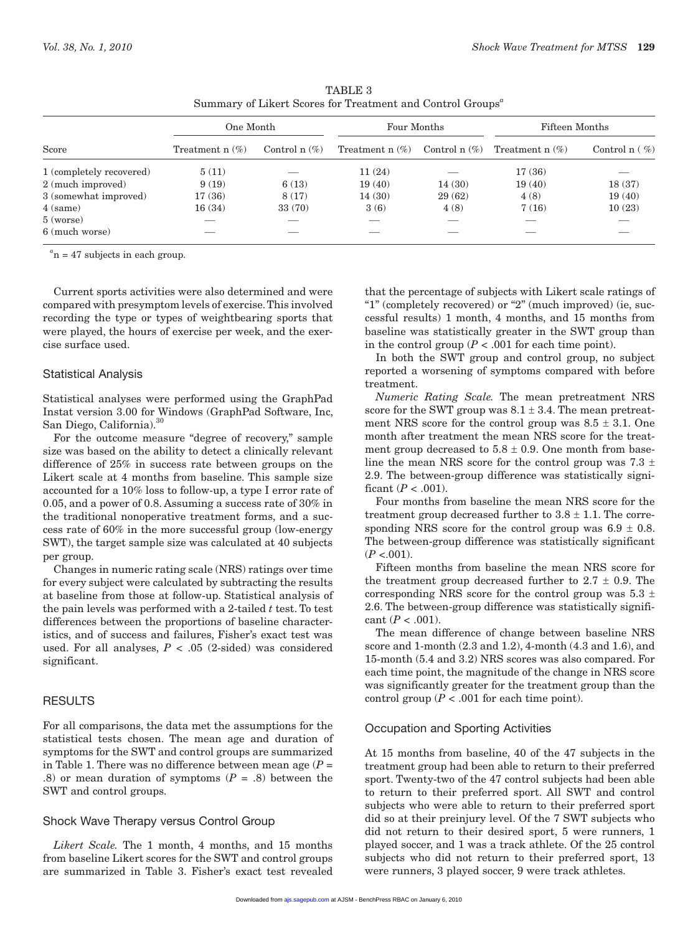| Score                    | One Month         |                  | Four Months       |                 | Fifteen Months    |                 |
|--------------------------|-------------------|------------------|-------------------|-----------------|-------------------|-----------------|
|                          | Treatment $n$ (%) | Control n $(\%)$ | Treatment $n$ (%) | Control $n$ (%) | Treatment $n$ (%) | Control $n(\%)$ |
| 1 (completely recovered) | 5(11)             |                  | 11(24)            |                 | 17(36)            |                 |
| 2 (much improved)        | 9(19)             | 6(13)            | 19(40)            | 14(30)          | 19(40)            | 18(37)          |
| 3 (somewhat improved)    | 17(36)            | 8(17)            | 14(30)            | 29(62)          | 4(8)              | 19(40)          |
| 4 (same)                 | 16(34)            | 33 (70)          | 3(6)              | 4(8)            | 7(16)             | 10(23)          |
| $5$ (worse)              | --                |                  |                   |                 |                   |                 |
| 6 (much worse)           |                   |                  |                   |                 |                   |                 |

TABLE 3 Summary of Likert Scores for Treatment and Control Groups*<sup>a</sup>*

 $a<sub>n</sub>$  = 47 subjects in each group.

Current sports activities were also determined and were compared with presymptom levels of exercise. This involved recording the type or types of weightbearing sports that were played, the hours of exercise per week, and the exercise surface used.

#### Statistical Analysis

Statistical analyses were performed using the GraphPad Instat version 3.00 for Windows (GraphPad Software, Inc, San Diego, California).<sup>30</sup>

For the outcome measure "degree of recovery," sample size was based on the ability to detect a clinically relevant difference of 25% in success rate between groups on the Likert scale at 4 months from baseline. This sample size accounted for a 10% loss to follow-up, a type I error rate of 0.05, and a power of 0.8. Assuming a success rate of 30% in the traditional nonoperative treatment forms, and a success rate of 60% in the more successful group (low-energy SWT), the target sample size was calculated at 40 subjects per group.

Changes in numeric rating scale (NRS) ratings over time for every subject were calculated by subtracting the results at baseline from those at follow-up. Statistical analysis of the pain levels was performed with a 2-tailed *t* test. To test differences between the proportions of baseline characteristics, and of success and failures, Fisher's exact test was used. For all analyses,  $P < .05$  (2-sided) was considered significant.

## **RESULTS**

For all comparisons, the data met the assumptions for the statistical tests chosen. The mean age and duration of symptoms for the SWT and control groups are summarized in Table 1. There was no difference between mean age  $(P =$ .8) or mean duration of symptoms  $(P = .8)$  between the SWT and control groups.

## Shock Wave Therapy versus Control Group

*Likert Scale.* The 1 month, 4 months, and 15 months from baseline Likert scores for the SWT and control groups are summarized in Table 3. Fisher's exact test revealed

that the percentage of subjects with Likert scale ratings of "1" (completely recovered) or "2" (much improved) (ie, successful results) 1 month, 4 months, and 15 months from baseline was statistically greater in the SWT group than in the control group  $(P < .001$  for each time point).

In both the SWT group and control group, no subject reported a worsening of symptoms compared with before treatment.

*Numeric Rating Scale.* The mean pretreatment NRS score for the SWT group was  $8.1 \pm 3.4$ . The mean pretreatment NRS score for the control group was  $8.5 \pm 3.1$ . One month after treatment the mean NRS score for the treatment group decreased to  $5.8 \pm 0.9$ . One month from baseline the mean NRS score for the control group was  $7.3 \pm$ 2.9. The between-group difference was statistically significant  $(P < .001)$ .

Four months from baseline the mean NRS score for the treatment group decreased further to 3.8  $\pm$  1.1. The corresponding NRS score for the control group was  $6.9 \pm 0.8$ . The between-group difference was statistically significant  $(P < 0.01)$ .

Fifteen months from baseline the mean NRS score for the treatment group decreased further to  $2.7 \pm 0.9$ . The corresponding NRS score for the control group was  $5.3 \pm$ 2.6. The between-group difference was statistically significant  $(P < .001)$ .

The mean difference of change between baseline NRS score and 1-month (2.3 and 1.2), 4-month (4.3 and 1.6), and 15-month (5.4 and 3.2) NRS scores was also compared. For each time point, the magnitude of the change in NRS score was significantly greater for the treatment group than the control group  $(P < .001$  for each time point).

### Occupation and Sporting Activities

At 15 months from baseline, 40 of the 47 subjects in the treatment group had been able to return to their preferred sport. Twenty-two of the 47 control subjects had been able to return to their preferred sport. All SWT and control subjects who were able to return to their preferred sport did so at their preinjury level. Of the 7 SWT subjects who did not return to their desired sport, 5 were runners, 1 played soccer, and 1 was a track athlete. Of the 25 control subjects who did not return to their preferred sport, 13 were runners, 3 played soccer, 9 were track athletes.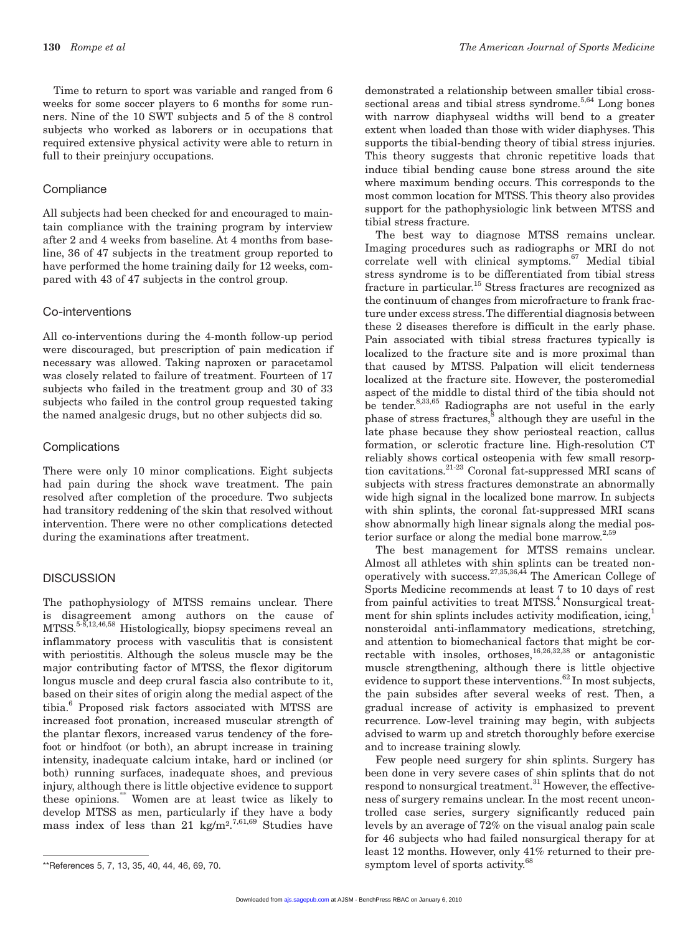**130** *Rompe et al The American Journal of Sports Medicine*

Time to return to sport was variable and ranged from 6 weeks for some soccer players to 6 months for some runners. Nine of the 10 SWT subjects and 5 of the 8 control subjects who worked as laborers or in occupations that required extensive physical activity were able to return in full to their preinjury occupations.

### **Compliance**

All subjects had been checked for and encouraged to maintain compliance with the training program by interview after 2 and 4 weeks from baseline. At 4 months from baseline, 36 of 47 subjects in the treatment group reported to have performed the home training daily for 12 weeks, compared with 43 of 47 subjects in the control group.

## Co-interventions

All co-interventions during the 4-month follow-up period were discouraged, but prescription of pain medication if necessary was allowed. Taking naproxen or paracetamol was closely related to failure of treatment. Fourteen of 17 subjects who failed in the treatment group and 30 of 33 subjects who failed in the control group requested taking the named analgesic drugs, but no other subjects did so.

#### **Complications**

There were only 10 minor complications. Eight subjects had pain during the shock wave treatment. The pain resolved after completion of the procedure. Two subjects had transitory reddening of the skin that resolved without intervention. There were no other complications detected during the examinations after treatment.

### **DISCUSSION**

The pathophysiology of MTSS remains unclear. There is disagreement among authors on the cause of MTSS.5-8,12,46,58 Histologically, biopsy specimens reveal an inflammatory process with vasculitis that is consistent with periostitis. Although the soleus muscle may be the major contributing factor of MTSS, the flexor digitorum longus muscle and deep crural fascia also contribute to it, based on their sites of origin along the medial aspect of the tibia.<sup>6</sup> Proposed risk factors associated with MTSS are increased foot pronation, increased muscular strength of the plantar flexors, increased varus tendency of the forefoot or hindfoot (or both), an abrupt increase in training intensity, inadequate calcium intake, hard or inclined (or both) running surfaces, inadequate shoes, and previous injury, although there is little objective evidence to support these opinions.\*\* Women are at least twice as likely to develop MTSS as men, particularly if they have a body mass index of less than 21 kg/m<sup>2,7,61,69</sup> Studies have

demonstrated a relationship between smaller tibial crosssectional areas and tibial stress syndrome.<sup>5,64</sup> Long bones with narrow diaphyseal widths will bend to a greater extent when loaded than those with wider diaphyses. This supports the tibial-bending theory of tibial stress injuries. This theory suggests that chronic repetitive loads that induce tibial bending cause bone stress around the site where maximum bending occurs. This corresponds to the most common location for MTSS. This theory also provides support for the pathophysiologic link between MTSS and tibial stress fracture.

The best way to diagnose MTSS remains unclear. Imaging procedures such as radiographs or MRI do not correlate well with clinical symptoms.<sup>67</sup> Medial tibial stress syndrome is to be differentiated from tibial stress fracture in particular.<sup>15</sup> Stress fractures are recognized as the continuum of changes from microfracture to frank fracture under excess stress. The differential diagnosis between these 2 diseases therefore is difficult in the early phase. Pain associated with tibial stress fractures typically is localized to the fracture site and is more proximal than that caused by MTSS. Palpation will elicit tenderness localized at the fracture site. However, the posteromedial aspect of the middle to distal third of the tibia should not be tender. $8,33,65$  Radiographs are not useful in the early phase of stress fractures,<sup>8</sup> although they are useful in the late phase because they show periosteal reaction, callus formation, or sclerotic fracture line. High-resolution CT reliably shows cortical osteopenia with few small resorption cavitations.21-23 Coronal fat-suppressed MRI scans of subjects with stress fractures demonstrate an abnormally wide high signal in the localized bone marrow. In subjects with shin splints, the coronal fat-suppressed MRI scans show abnormally high linear signals along the medial posterior surface or along the medial bone marrow. $^{2,5}$ 

The best management for MTSS remains unclear. Almost all athletes with shin splints can be treated nonoperatively with success.<sup>27,35,36,44</sup> The American College of Sports Medicine recommends at least 7 to 10 days of rest from painful activities to treat MTSS.<sup>4</sup> Nonsurgical treatment for shin splints includes activity modification, icing,<sup>1</sup> nonsteroidal anti-inflammatory medications, stretching, and attention to biomechanical factors that might be correctable with insoles, orthoses,  $16,26,32,38$  or antagonistic muscle strengthening, although there is little objective evidence to support these interventions. $62$  In most subjects, the pain subsides after several weeks of rest. Then, a gradual increase of activity is emphasized to prevent recurrence. Low-level training may begin, with subjects advised to warm up and stretch thoroughly before exercise and to increase training slowly.

Few people need surgery for shin splints. Surgery has been done in very severe cases of shin splints that do not respond to nonsurgical treatment.<sup>31</sup> However, the effectiveness of surgery remains unclear. In the most recent uncontrolled case series, surgery significantly reduced pain levels by an average of 72% on the visual analog pain scale for 46 subjects who had failed nonsurgical therapy for at least 12 months. However, only 41% returned to their pre-\*\*References 5, 7, 13, 35, 40, 44, 46, 69, 70.  $\sim$  symptom level of sports activity.<sup>68</sup>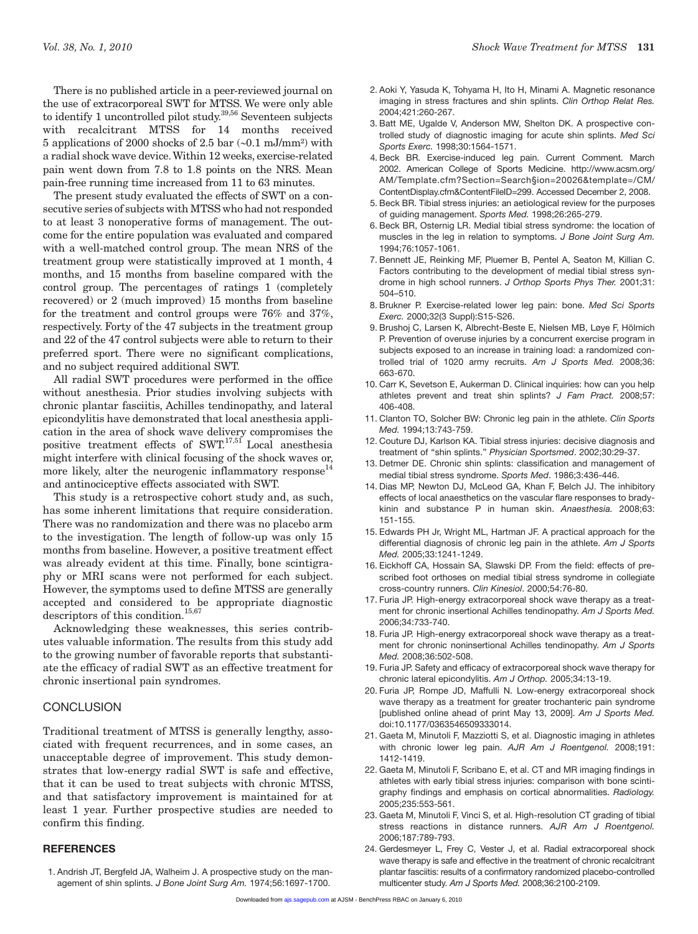The present study evaluated the effects of SWT on a consecutive series of subjects with MTSS who had not responded to at least 3 nonoperative forms of management. The outcome for the entire population was evaluated and compared with a well-matched control group. The mean NRS of the treatment group were statistically improved at 1 month, 4 months, and 15 months from baseline compared with the control group. The percentages of ratings 1 (completely recovered) or 2 (much improved) 15 months from baseline for the treatment and control groups were 76% and 37%, respectively. Forty of the 47 subjects in the treatment group and 22 of the 47 control subjects were able to return to their preferred sport. There were no significant complications, and no subject required additional SWT.

All radial SWT procedures were performed in the office without anesthesia. Prior studies involving subjects with chronic plantar fasciitis, Achilles tendinopathy, and lateral epicondylitis have demonstrated that local anesthesia application in the area of shock wave delivery compromises the positive treatment effects of  $\text{SWT}^{17,51}$  Local anesthesia might interfere with clinical focusing of the shock waves or, more likely, alter the neurogenic inflammatory  $respose<sup>14</sup>$ and antinociceptive effects associated with SWT.

This study is a retrospective cohort study and, as such, has some inherent limitations that require consideration. There was no randomization and there was no placebo arm to the investigation. The length of follow-up was only 15 months from baseline. However, a positive treatment effect was already evident at this time. Finally, bone scintigraphy or MRI scans were not performed for each subject. However, the symptoms used to define MTSS are generally accepted and considered to be appropriate diagnostic descriptors of this condition.  $^{15,67}$ 

Acknowledging these weaknesses, this series contributes valuable information. The results from this study add to the growing number of favorable reports that substantiate the efficacy of radial SWT as an effective treatment for chronic insertional pain syndromes.

# **CONCLUSION**

Traditional treatment of MTSS is generally lengthy, associated with frequent recurrences, and in some cases, an unacceptable degree of improvement. This study demonstrates that low-energy radial SWT is safe and effective, that it can be used to treat subjects with chronic MTSS, and that satisfactory improvement is maintained for at least 1 year. Further prospective studies are needed to confirm this finding.

## **REFERENCES**

1. Andrish JT, Bergfeld JA, Walheim J. A prospective study on the management of shin splints. *J Bone Joint Surg Am.* 1974;56:1697-1700.

- 2. Aoki Y, Yasuda K, Tohyama H, Ito H, Minami A. Magnetic resonance imaging in stress fractures and shin splints. *Clin Orthop Relat Res.* 2004;421:260-267.
- 3. Batt ME, Ugalde V, Anderson MW, Shelton DK. A prospective controlled study of diagnostic imaging for acute shin splints. *Med Sci Sports Exerc.* 1998;30:1564-1571.
- 4. Beck BR. Exercise-induced leg pain. Current Comment. March 2002. American College of Sports Medicine. http://www.acsm.org/ AM/Template.cfm?Section=Search§ion=20026&template=/CM/ ContentDisplay.cfm&ContentFileID=299. Accessed December 2, 2008.
- 5. Beck BR. Tibial stress injuries: an aetiological review for the purposes of guiding management. *Sports Med.* 1998;26:265-279.
- 6. Beck BR, Osternig LR. Medial tibial stress syndrome: the location of muscles in the leg in relation to symptoms. *J Bone Joint Surg Am.* 1994;76:1057-1061.
- 7. Bennett JE, Reinking MF, Pluemer B, Pentel A, Seaton M, Killian C. Factors contributing to the development of medial tibial stress syndrome in high school runners. *J Orthop Sports Phys Ther.* 2001;31: 504–510.
- 8. Brukner P. Exercise-related lower leg pain: bone. *Med Sci Sports Exerc.* 2000;32(3 Suppl):S15-S26.
- 9. Brushoj C, Larsen K, Albrecht-Beste E, Nielsen MB, Løye F, Hölmich P. Prevention of overuse injuries by a concurrent exercise program in subjects exposed to an increase in training load: a randomized controlled trial of 1020 army recruits. *Am J Sports Med.* 2008;36: 663-670.
- 10. Carr K, Sevetson E, Aukerman D. Clinical inquiries: how can you help athletes prevent and treat shin splints? *J Fam Pract.* 2008;57: 406-408.
- 11. Clanton TO, Solcher BW: Chronic leg pain in the athlete. *Clin Sports Med.* 1994;13:743-759.
- 12. Couture DJ, Karlson KA. Tibial stress injuries: decisive diagnosis and treatment of ''shin splints.'' *Physician Sportsmed*. 2002;30:29-37.
- 13. Detmer DE. Chronic shin splints: classification and management of medial tibial stress syndrome. *Sports Med*. 1986;3:436-446.
- 14. Dias MP, Newton DJ, McLeod GA, Khan F, Belch JJ. The inhibitory effects of local anaesthetics on the vascular flare responses to bradykinin and substance P in human skin. *Anaesthesia.* 2008;63: 151-155.
- 15. Edwards PH Jr, Wright ML, Hartman JF. A practical approach for the differential diagnosis of chronic leg pain in the athlete. *Am J Sports Med.* 2005;33:1241-1249.
- 16. Eickhoff CA, Hossain SA, Slawski DP. From the field: effects of prescribed foot orthoses on medial tibial stress syndrome in collegiate cross-country runners. *Clin Kinesiol*. 2000;54:76-80.
- 17. Furia JP. High-energy extracorporeal shock wave therapy as a treatment for chronic insertional Achilles tendinopathy. *Am J Sports Med.* 2006;34:733-740.
- 18. Furia JP. High-energy extracorporeal shock wave therapy as a treatment for chronic noninsertional Achilles tendinopathy. *Am J Sports Med.* 2008;36:502-508.
- 19. Furia JP. Safety and efficacy of extracorporeal shock wave therapy for chronic lateral epicondylitis. *Am J Orthop.* 2005;34:13-19.
- 20. Furia JP, Rompe JD, Maffulli N. Low-energy extracorporeal shock wave therapy as a treatment for greater trochanteric pain syndrome [published online ahead of print May 13, 2009]. *Am J Sports Med.*  doi:10.1177/0363546509333014.
- 21. Gaeta M, Minutoli F, Mazziotti S, et al. Diagnostic imaging in athletes with chronic lower leg pain. *AJR Am J Roentgenol.* 2008;191: 1412-1419.
- 22. Gaeta M, Minutoli F, Scribano E, et al. CT and MR imaging findings in athletes with early tibial stress injuries: comparison with bone scintigraphy findings and emphasis on cortical abnormalities. *Radiology.* 2005;235:553-561.
- 23. Gaeta M, Minutoli F, Vinci S, et al. High-resolution CT grading of tibial stress reactions in distance runners. *AJR Am J Roentgenol.* 2006;187:789-793.
- 24. Gerdesmeyer L, Frey C, Vester J, et al. Radial extracorporeal shock wave therapy is safe and effective in the treatment of chronic recalcitrant plantar fasciitis: results of a confirmatory randomized placebo-controlled multicenter study. *Am J Sports Med.* 2008;36:2100-2109.